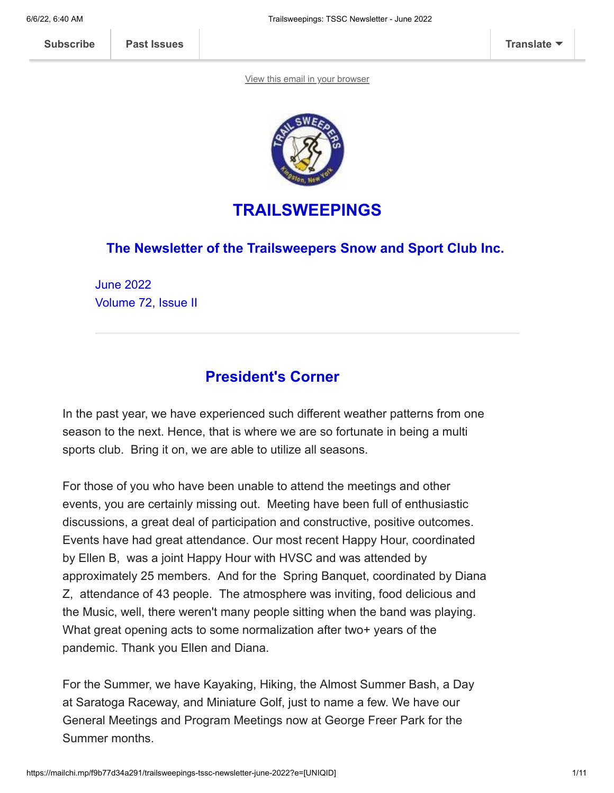[View this email in your browser](https://mailchi.mp/f9b77d34a291/trailsweepings-tssc-newsletter-june-2022?e=[UNIQID])



# **TRAILSWEEPINGS**

### **The Newsletter of the Trailsweepers Snow and Sport Club Inc.**

June 2022 Volume 72, Issue II

# **President's Corner**

In the past year, we have experienced such different weather patterns from one season to the next. Hence, that is where we are so fortunate in being a multi sports club. Bring it on, we are able to utilize all seasons.

For those of you who have been unable to attend the meetings and other events, you are certainly missing out. Meeting have been full of enthusiastic discussions, a great deal of participation and constructive, positive outcomes. Events have had great attendance. Our most recent Happy Hour, coordinated by Ellen B, was a joint Happy Hour with HVSC and was attended by approximately 25 members. And for the Spring Banquet, coordinated by Diana Z, attendance of 43 people. The atmosphere was inviting, food delicious and the Music, well, there weren't many people sitting when the band was playing. What great opening acts to some normalization after two+ years of the pandemic. Thank you Ellen and Diana.

For the Summer, we have Kayaking, Hiking, the Almost Summer Bash, a Day at Saratoga Raceway, and Miniature Golf, just to name a few. We have our General Meetings and Program Meetings now at George Freer Park for the Summer months.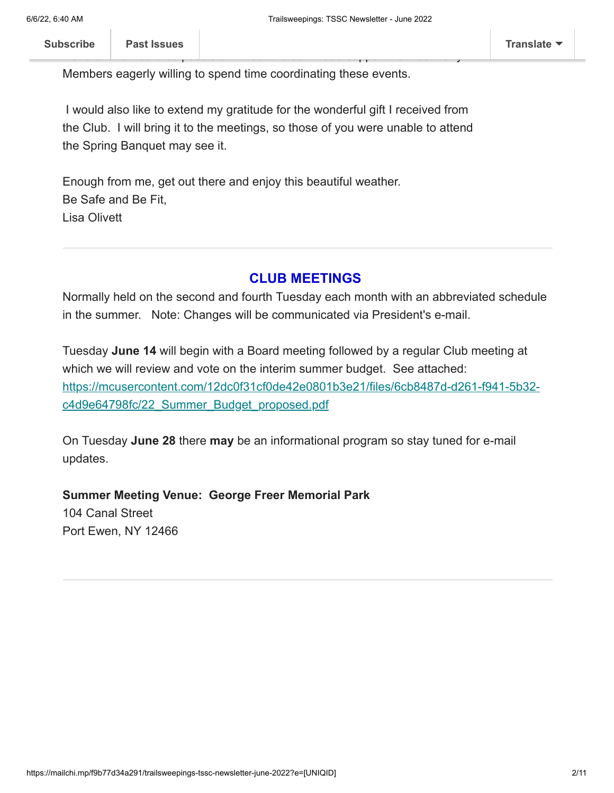Members eagerly willing to spend time coordinating these events.

I would also like to extend my gratitude for the wonderful gift I received from the Club. I will bring it to the meetings, so those of you were unable to attend the Spring Banquet may see it.

Enough from me, get out there and enjoy this beautiful weather. Be Safe and Be Fit, Lisa Olivett

### **CLUB MEETINGS**

Normally held on the second and fourth Tuesday each month with an abbreviated schedule in the summer. Note: Changes will be communicated via President's e-mail.

Tuesday **June 14** will begin with a Board meeting followed by a regular Club meeting at which we will review and vote on the interim summer budget. See attached: [https://mcusercontent.com/12dc0f31cf0de42e0801b3e21/files/6cb8487d-d261-f941-5b32](https://mcusercontent.com/12dc0f31cf0de42e0801b3e21/files/6cb8487d-d261-f941-5b32-c4d9e64798fc/22_Summer_Budget_proposed.pdf) c4d9e64798fc/22\_Summer\_Budget\_proposed.pdf

On Tuesday **June 28** there **may** be an informational program so stay tuned for e-mail updates.

**Summer Meeting Venue: George Freer Memorial Park** 104 Canal Street Port Ewen, NY 12466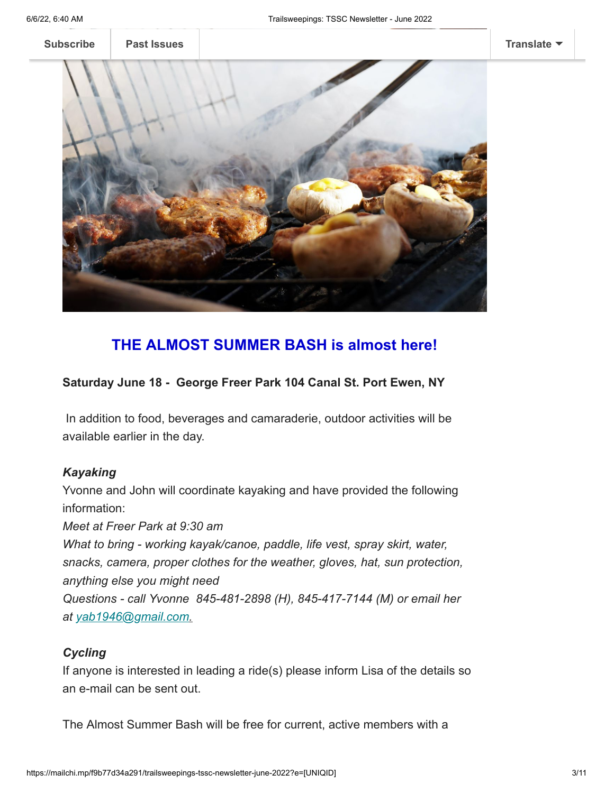**[Subscribe](http://eepurl.com/hCJCor) [Past Issues](https://us17.campaign-archive.com/home/?u=12dc0f31cf0de42e0801b3e21&id=3b633232f1) [Translate](javascript:;)**



# **THE ALMOST SUMMER BASH is almost here!**

### **Saturday June 18 - George Freer Park 104 Canal St. Port Ewen, NY**

In addition to food, beverages and camaraderie, outdoor activities will be available earlier in the day.

### *Kayaking*

Yvonne and John will coordinate kayaking and have provided the following information:

*Meet at Freer Park at 9:30 am What to bring - working kayak/canoe, paddle, life vest, spray skirt, water, snacks, camera, proper clothes for the weather, gloves, hat, sun protection, anything else you might need Questions - call Yvonne 845-481-2898 (H), 845-417-7144 (M) or email her at [yab1946@gmail.com.](mailto:yab1946@gmail.com)*

### *Cycling*

If anyone is interested in leading a ride(s) please inform Lisa of the details so an e-mail can be sent out.

The Almost Summer Bash will be free for current, active members with a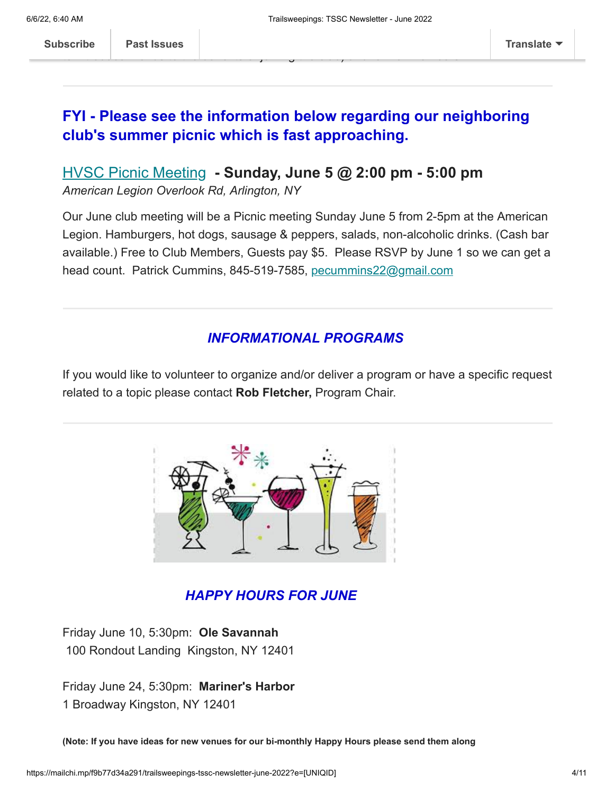to introduce friends to the benefits of joining the club) and former members.

 $\mathbf{h}$ 

# **FYI - Please see the information below regarding our neighboring club's summer picnic which is fast approaching.**

## [HVSC Picnic Meeting](https://nam12.safelinks.protection.outlook.com/?url=https%3A%2F%2Fhudsonvalleyskiclub.org%2Fevent%2Fpicnic-meeting%2F&data=05%7C01%7C%7C2a11e64ddfe54fa6bd0e08da3ff1db27%7C84df9e7fe9f640afb435aaaaaaaaaaaa%7C1%7C0%7C637892605240652443%7CUnknown%7CTWFpbGZsb3d8eyJWIjoiMC4wLjAwMDAiLCJQIjoiV2luMzIiLCJBTiI6Ik1haWwiLCJXVCI6Mn0%3D%7C3000%7C%7C%7C&sdata=4TaGxVlfwRuE1GqsjecW4H7j45%2FrdQzHBqJx8PtJL4w%3D&reserved=0) **- Sunday, June 5 @ 2:00 pm - 5:00 pm**

*American Legion Overlook Rd, Arlington, NY*

Our June club meeting will be a Picnic meeting Sunday June 5 from 2-5pm at the American Legion. Hamburgers, hot dogs, sausage & peppers, salads, non-alcoholic drinks. (Cash bar available.) Free to Club Members, Guests pay \$5. Please RSVP by June 1 so we can get a head count. Patrick Cummins, 845-519-7585, [pecummins22@gmail.com](mailto:pecummins22@gmail.com)

## *INFORMATIONAL PROGRAMS*

If you would like to volunteer to organize and/or deliver a program or have a specific request related to a topic please contact **Rob Fletcher,** Program Chair.



## *HAPPY HOURS FOR JUNE*

Friday June 10, 5:30pm: **Ole Savannah**  100 Rondout Landing Kingston, NY 12401

Friday June 24, 5:30pm: **Mariner's Harbor** 1 Broadway Kingston, NY 12401

**(Note: If you have ideas for new venues for our bi-monthly Happy Hours please send them along**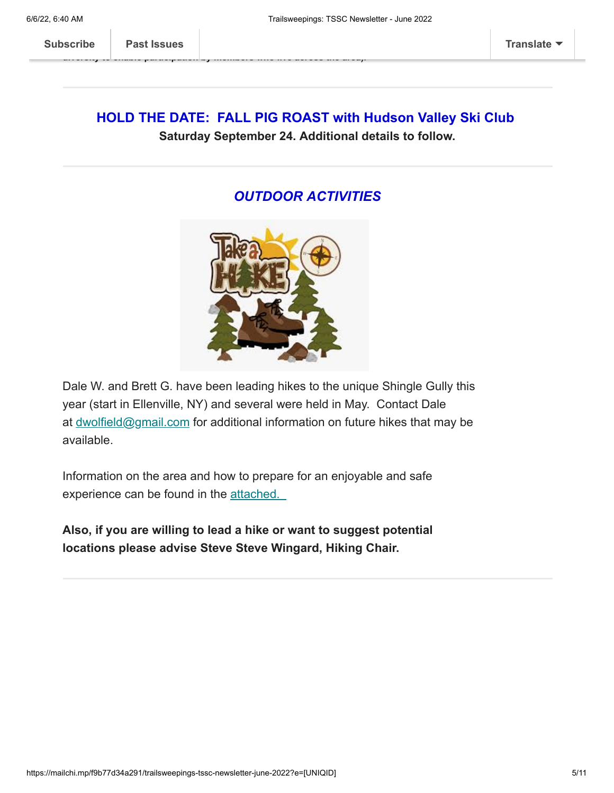**diversity to enable participation by members who live across the area).**

## **HOLD THE DATE: FALL PIG ROAST with Hudson Valley Ski Club Saturday September 24. Additional details to follow.**

### *OUTDOOR ACTIVITIES*



Dale W. and Brett G. have been leading hikes to the unique Shingle Gully this year (start in Ellenville, NY) and several were held in May. Contact Dale at [dwolfield@gmail.com](mailto:dwolfield@gmail.com) for additional information on future hikes that may be available.

Information on the area and how to prepare for an enjoyable and safe experience can be found in the [attached.](https://mcusercontent.com/12dc0f31cf0de42e0801b3e21/files/b29aaef0-eaa6-7e46-5ac9-5bf74b3deaca/SHINGLE_HIKE_INFO_2022_1_.pdf)

**Also, if you are willing to lead a hike or want to suggest potential locations please advise Steve Steve Wingard, Hiking Chair.**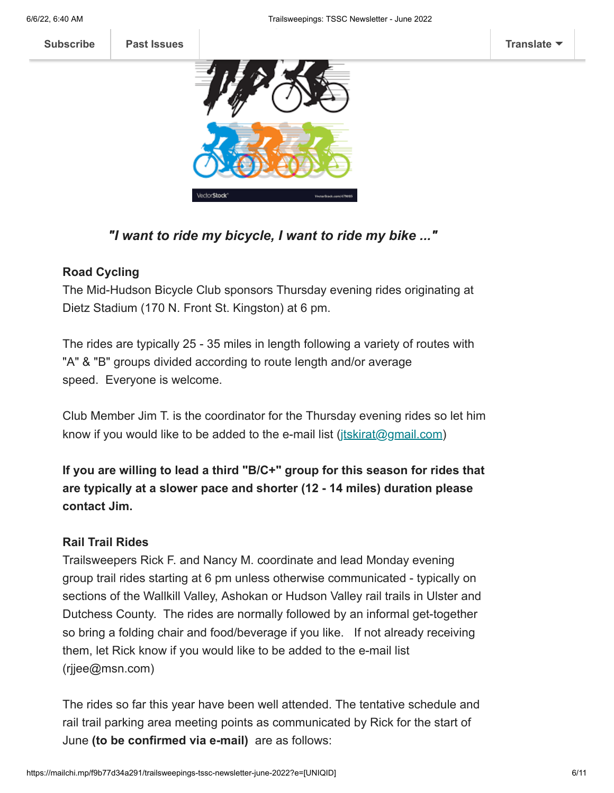



## *"I want to ride my bicycle, I want to ride my bike ..."*

### **Road Cycling**

The Mid-Hudson Bicycle Club sponsors Thursday evening rides originating at Dietz Stadium (170 N. Front St. Kingston) at 6 pm.

The rides are typically 25 - 35 miles in length following a variety of routes with "A" & "B" groups divided according to route length and/or average speed. Everyone is welcome.

Club Member Jim T. is the coordinator for the Thursday evening rides so let him know if you would like to be added to the e-mail list ([jtskirat@gmail.com\)](mailto:jtskirat@gmail.com)

**If you are willing to lead a third "B/C+" group for this season for rides that are typically at a slower pace and shorter (12 - 14 miles) duration please contact Jim.**

### **Rail Trail Rides**

Trailsweepers Rick F. and Nancy M. coordinate and lead Monday evening group trail rides starting at 6 pm unless otherwise communicated - typically on sections of the Wallkill Valley, Ashokan or Hudson Valley rail trails in Ulster and Dutchess County. The rides are normally followed by an informal get-together so bring a folding chair and food/beverage if you like. If not already receiving them, let Rick know if you would like to be added to the e-mail list (rjjee@msn.com)

The rides so far this year have been well attended. The tentative schedule and rail trail parking area meeting points as communicated by Rick for the start of June **(to be confirmed via e-mail)** are as follows: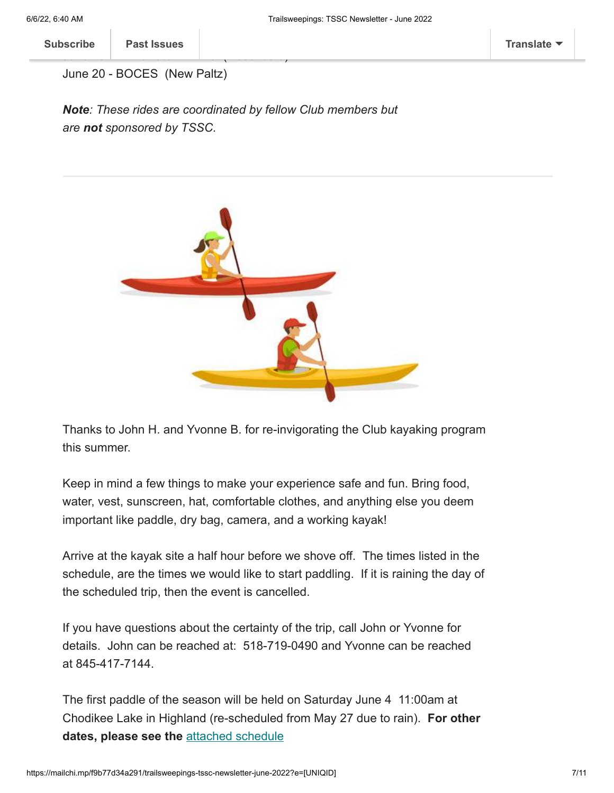June 20 - BOCES (New Paltz)

*Note: These rides are coordinated by fellow Club members but are not sponsored by TSSC.*



Thanks to John H. and Yvonne B. for re-invigorating the Club kayaking program this summer.

Keep in mind a few things to make your experience safe and fun. Bring food, water, vest, sunscreen, hat, comfortable clothes, and anything else you deem important like paddle, dry bag, camera, and a working kayak!

Arrive at the kayak site a half hour before we shove off. The times listed in the schedule, are the times we would like to start paddling. If it is raining the day of the scheduled trip, then the event is cancelled.

If you have questions about the certainty of the trip, call John or Yvonne for details. John can be reached at: 518-719-0490 and Yvonne can be reached at 845-417-7144.

The first paddle of the season will be held on Saturday June 4 11:00am at Chodikee Lake in Highland (re-scheduled from May 27 due to rain). **For other dates, please see the** [attached schedule](https://mcusercontent.com/12dc0f31cf0de42e0801b3e21/files/f983ce69-7f8c-febd-7c7e-c5e0894f2769/TSSC_2022_kayak_schedule_1_.pdf)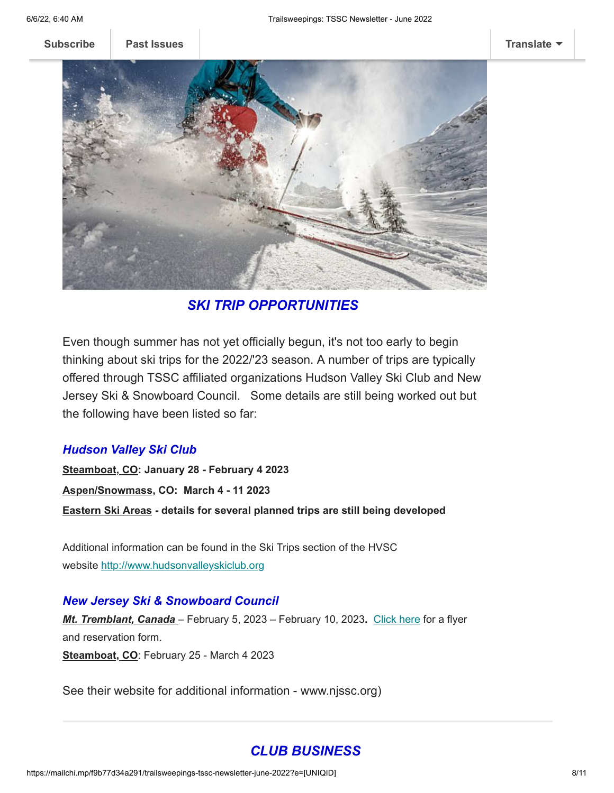**[Subscribe](http://eepurl.com/hCJCor) [Past Issues](https://us17.campaign-archive.com/home/?u=12dc0f31cf0de42e0801b3e21&id=3b633232f1) [Translate](javascript:;)**



*SKI TRIP OPPORTUNITIES*

Even though summer has not yet officially begun, it's not too early to begin thinking about ski trips for the 2022/'23 season. A number of trips are typically offered through TSSC affiliated organizations Hudson Valley Ski Club and New Jersey Ski & Snowboard Council. Some details are still being worked out but the following have been listed so far:

#### *Hudson Valley Ski Club*

**Steamboat, CO: January 28 - February 4 2023 Aspen/Snowmass, CO: March 4 - 11 2023 Eastern Ski Areas - details for several planned trips are still being developed**

Additional information can be found in the Ski Trips section of the HVSC website [http://www.hudsonvalleyskiclub.org](https://na01.safelinks.protection.outlook.com/?url=https%3A%2F%2Fhotmail.us17.list-manage.com%2Ftrack%2Fclick%3Fu%3D12dc0f31cf0de42e0801b3e21%26id%3D1f43c617a6%26e%3Ddb5c61ab33&data=04%7C01%7C%7C6b69bd7d8a9d4ff6871708d96d36eee6%7C84df9e7fe9f640afb435aaaaaaaaaaaa%7C1%7C0%7C637660905007882776%7CUnknown%7CTWFpbGZsb3d8eyJWIjoiMC4wLjAwMDAiLCJQIjoiV2luMzIiLCJBTiI6Ik1haWwiLCJXVCI6Mn0%3D%7C1000&sdata=8glVYzwfTzbpc0%2Bd25dUd0ZJJuhD6I34X8skHeFWoFQ%3D&reserved=0)

#### *New Jersey Ski & Snowboard Council*

*Mt. Tremblant, Canada* – February 5, 2023 – February 10, 2023**.** [Click here](http://www.njssc.org/wp-content/uploads/NJSSC-Mt-Tremblant-2023.pdf) for a flyer and reservation form. **Steamboat, CO**: February 25 - March 4 2023

See their website for additional information - www.njssc.org)

### *CLUB BUSINESS*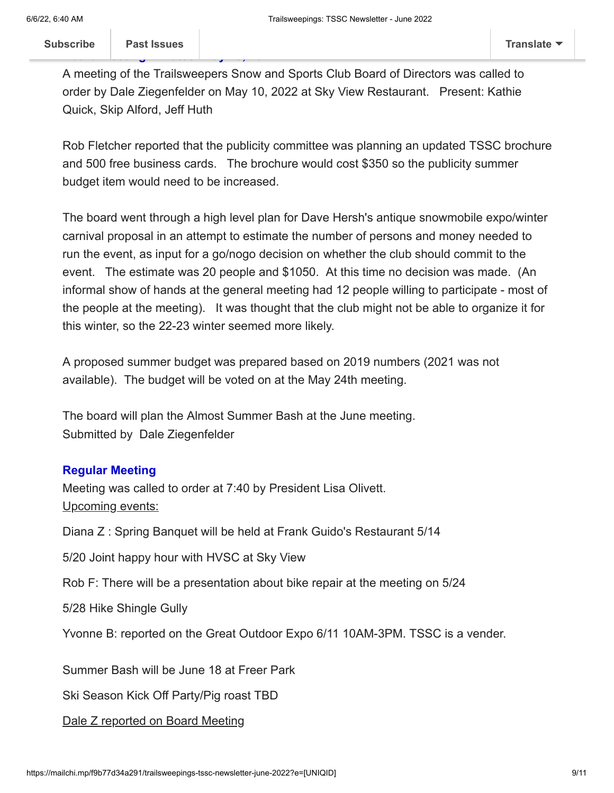A meeting of the Trailsweepers Snow and Sports Club Board of Directors was called to order by Dale Ziegenfelder on May 10, 2022 at Sky View Restaurant. Present: Kathie Quick, Skip Alford, Jeff Huth

Rob Fletcher reported that the publicity committee was planning an updated TSSC brochure and 500 free business cards. The brochure would cost \$350 so the publicity summer budget item would need to be increased.

The board went through a high level plan for Dave Hersh's antique snowmobile expo/winter carnival proposal in an attempt to estimate the number of persons and money needed to run the event, as input for a go/nogo decision on whether the club should commit to the event. The estimate was 20 people and \$1050. At this time no decision was made. (An informal show of hands at the general meeting had 12 people willing to participate - most of the people at the meeting). It was thought that the club might not be able to organize it for this winter, so the 22-23 winter seemed more likely.

A proposed summer budget was prepared based on 2019 numbers (2021 was not available). The budget will be voted on at the May 24th meeting.

The board will plan the Almost Summer Bash at the June meeting. Submitted by Dale Ziegenfelder

### **Regular Meeting**

Meeting was called to order at 7:40 by President Lisa Olivett. Upcoming events:

Diana Z : Spring Banquet will be held at Frank Guido's Restaurant 5/14

5/20 Joint happy hour with HVSC at Sky View

Rob F: There will be a presentation about bike repair at the meeting on 5/24

5/28 Hike Shingle Gully

Yvonne B: reported on the Great Outdoor Expo 6/11 10AM-3PM. TSSC is a vender.

Summer Bash will be June 18 at Freer Park

Ski Season Kick Off Party/Pig roast TBD

Dale Z reported on Board Meeting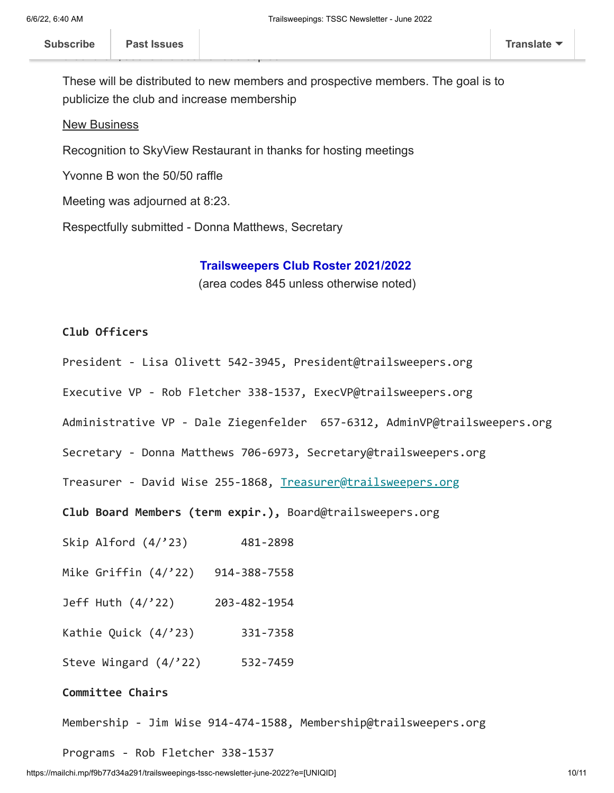These will be distributed to new members and prospective members. The goal is to publicize the club and increase membership

#### New Business

Recognition to SkyView Restaurant in thanks for hosting meetings

Yvonne B won the 50/50 raffle

Meeting was adjourned at 8:23.

Respectfully submitted - Donna Matthews, Secretary

#### **Trailsweepers Club Roster 2021/2022**

(area codes 845 unless otherwise noted)

### **Club Officers**

- President Lisa Olivett 542-3945, President@trailsweepers.org
- Executive VP Rob Fletcher 338-1537, ExecVP@trailsweepers.org
- Administrative VP Dale Ziegenfelder 657-6312, AdminVP@trailsweepers.org
- Secretary Donna Matthews 706-6973, Secretary@trailsweepers.org

Treasurer - David Wise 255-1868, [Treasurer@trailsweepers.org](mailto:Treasurer@trailsweepers.org)

**Club Board Members (term expir.),** Board@trailsweepers.org

- Skip Alford (4/'23) 481-2898
- Mike Griffin (4/'22) 914-388-7558
- Jeff Huth (4/'22) 203-482-1954
- Kathie Quick (4/'23) 331-7358
- Steve Wingard (4/'22) 532-7459

#### **Committee Chairs**

Membership - Jim Wise 914-474-1588, Membership@trailsweepers.org

Programs - Rob Fletcher 338-1537